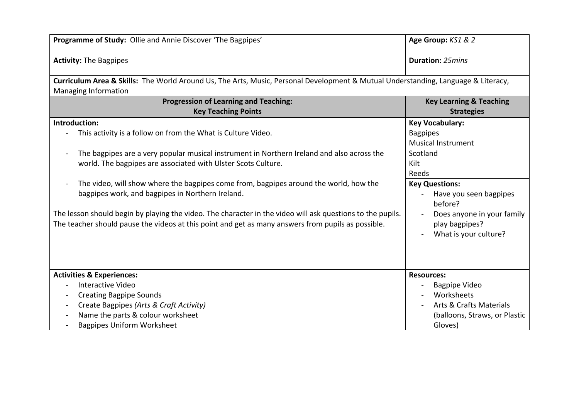| Programme of Study: Ollie and Annie Discover 'The Bagpipes'                                                                                                                                                                                             | Age Group: KS1 & 2                                                    |  |
|---------------------------------------------------------------------------------------------------------------------------------------------------------------------------------------------------------------------------------------------------------|-----------------------------------------------------------------------|--|
| <b>Activity: The Bagpipes</b>                                                                                                                                                                                                                           | <b>Duration: 25mins</b>                                               |  |
| Curriculum Area & Skills: The World Around Us, The Arts, Music, Personal Development & Mutual Understanding, Language & Literacy,<br><b>Managing Information</b>                                                                                        |                                                                       |  |
| <b>Progression of Learning and Teaching:</b>                                                                                                                                                                                                            | <b>Key Learning &amp; Teaching</b>                                    |  |
| <b>Key Teaching Points</b>                                                                                                                                                                                                                              | <b>Strategies</b>                                                     |  |
| Introduction:                                                                                                                                                                                                                                           | <b>Key Vocabulary:</b>                                                |  |
| This activity is a follow on from the What is Culture Video.                                                                                                                                                                                            | <b>Bagpipes</b><br><b>Musical Instrument</b>                          |  |
| The bagpipes are a very popular musical instrument in Northern Ireland and also across the                                                                                                                                                              | Scotland                                                              |  |
| world. The bagpipes are associated with Ulster Scots Culture.                                                                                                                                                                                           | Kilt                                                                  |  |
|                                                                                                                                                                                                                                                         | Reeds                                                                 |  |
| The video, will show where the bagpipes come from, bagpipes around the world, how the<br>bagpipes work, and bagpipes in Northern Ireland.<br>The lesson should begin by playing the video. The character in the video will ask questions to the pupils. | <b>Key Questions:</b><br>Have you seen bagpipes<br>before?            |  |
| The teacher should pause the videos at this point and get as many answers from pupils as possible.                                                                                                                                                      | Does anyone in your family<br>play bagpipes?<br>What is your culture? |  |
| <b>Activities &amp; Experiences:</b>                                                                                                                                                                                                                    | <b>Resources:</b>                                                     |  |
| Interactive Video                                                                                                                                                                                                                                       | <b>Bagpipe Video</b>                                                  |  |
| <b>Creating Bagpipe Sounds</b>                                                                                                                                                                                                                          | Worksheets                                                            |  |
| Create Bagpipes (Arts & Craft Activity)                                                                                                                                                                                                                 | <b>Arts &amp; Crafts Materials</b>                                    |  |
| Name the parts & colour worksheet                                                                                                                                                                                                                       | (balloons, Straws, or Plastic                                         |  |
| <b>Bagpipes Uniform Worksheet</b>                                                                                                                                                                                                                       | Gloves)                                                               |  |